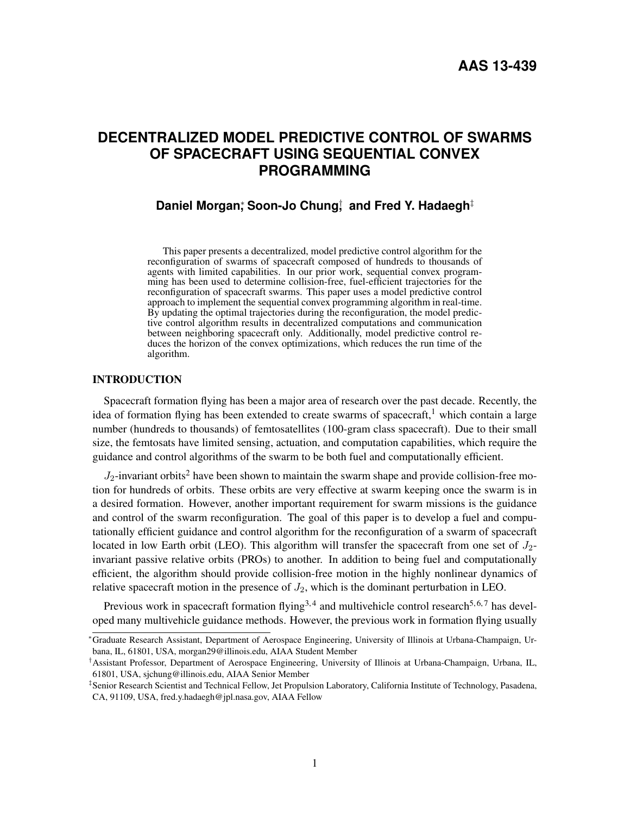# **DECENTRALIZED MODEL PREDICTIVE CONTROL OF SWARMS OF SPACECRAFT USING SEQUENTIAL CONVEX PROGRAMMING**

## **Daniel Morgan**; Soon-Jo Chung; and Fred Y. Hadaegh<sup>‡</sup>

This paper presents a decentralized, model predictive control algorithm for the reconfiguration of swarms of spacecraft composed of hundreds to thousands of agents with limited capabilities. In our prior work, sequential convex programming has been used to determine collision-free, fuel-efficient trajectories for the reconfiguration of spacecraft swarms. This paper uses a model predictive control approach to implement the sequential convex programming algorithm in real-time. By updating the optimal trajectories during the reconfiguration, the model predictive control algorithm results in decentralized computations and communication between neighboring spacecraft only. Additionally, model predictive control reduces the horizon of the convex optimizations, which reduces the run time of the algorithm.

## INTRODUCTION

Spacecraft formation flying has been a major area of research over the past decade. Recently, the idea of formation flying has been extended to create swarms of spacecraft, which contain a large number (hundreds to thousands) of femtosatellites (100-gram class spacecraft). Due to their small size, the femtosats have limited sensing, actuation, and computation capabilities, which require the guidance and control algorithms of the swarm to be both fuel and computationally efficient.

 $J_2$  $J_2$ -invariant orbits<sup>2</sup> have been shown to maintain the swarm shape and provide collision-free motion for hundreds of orbits. These orbits are very effective at swarm keeping once the swarm is in a desired formation. However, another important requirement for swarm missions is the guidance and control of the swarm reconfiguration. The goal of this paper is to develop a fuel and computationally efficient guidance and control algorithm for the reconfiguration of a swarm of spacecraft located in low Earth orbit (LEO). This algorithm will transfer the spacecraft from one set of  $J_2$ invariant passive relative orbits (PROs) to another. In addition to being fuel and computationally efficient, the algorithm should provide collision-free motion in the highly nonlinear dynamics of relative spacecraft motion in the presence of  $J_2$ , which is the dominant perturbation in LEO.

Previous work in spacecraft formation flying<sup>[3,](#page-18-2)[4](#page-18-3)</sup> and multivehicle control research<sup>[5,](#page-18-4)[6,](#page-18-5)[7](#page-18-6)</sup> has developed many multivehicle guidance methods. However, the previous work in formation flying usually

<sup>∗</sup>Graduate Research Assistant, Department of Aerospace Engineering, University of Illinois at Urbana-Champaign, Urbana, IL, 61801, USA, morgan29@illinois.edu, AIAA Student Member

<sup>†</sup>Assistant Professor, Department of Aerospace Engineering, University of Illinois at Urbana-Champaign, Urbana, IL, 61801, USA, sjchung@illinois.edu, AIAA Senior Member

<sup>‡</sup> Senior Research Scientist and Technical Fellow, Jet Propulsion Laboratory, California Institute of Technology, Pasadena, CA, 91109, USA, fred.y.hadaegh@jpl.nasa.gov, AIAA Fellow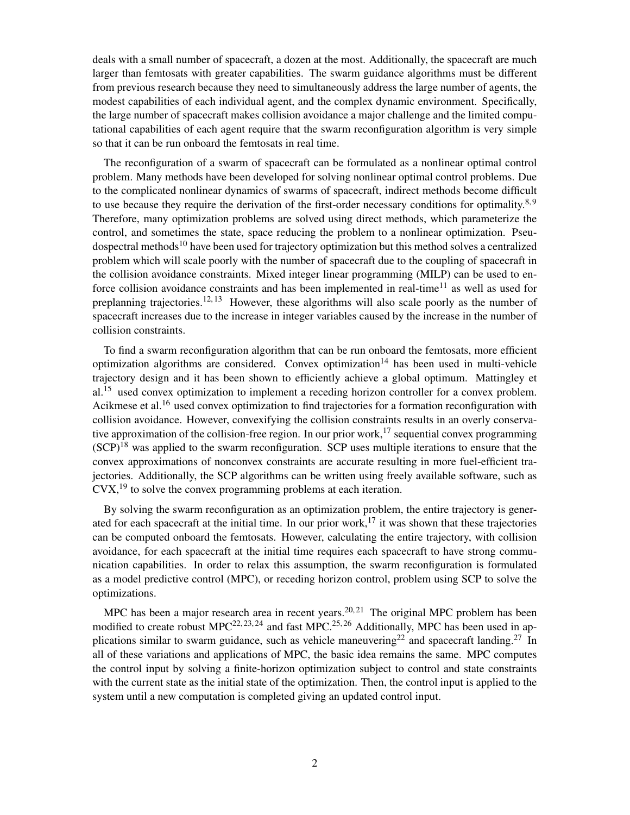deals with a small number of spacecraft, a dozen at the most. Additionally, the spacecraft are much larger than femtosats with greater capabilities. The swarm guidance algorithms must be different from previous research because they need to simultaneously address the large number of agents, the modest capabilities of each individual agent, and the complex dynamic environment. Specifically, the large number of spacecraft makes collision avoidance a major challenge and the limited computational capabilities of each agent require that the swarm reconfiguration algorithm is very simple so that it can be run onboard the femtosats in real time.

The reconfiguration of a swarm of spacecraft can be formulated as a nonlinear optimal control problem. Many methods have been developed for solving nonlinear optimal control problems. Due to the complicated nonlinear dynamics of swarms of spacecraft, indirect methods become difficult to use because they require the derivation of the first-order necessary conditions for optimality. $8,9$  $8,9$ Therefore, many optimization problems are solved using direct methods, which parameterize the control, and sometimes the state, space reducing the problem to a nonlinear optimization. Pseu-dospectral methods<sup>[10](#page-18-9)</sup> have been used for trajectory optimization but this method solves a centralized problem which will scale poorly with the number of spacecraft due to the coupling of spacecraft in the collision avoidance constraints. Mixed integer linear programming (MILP) can be used to enforce collision avoidance constraints and has been implemented in real-time $11$  as well as used for preplanning trajectories.<sup>[12,](#page-18-11) [13](#page-18-12)</sup> However, these algorithms will also scale poorly as the number of spacecraft increases due to the increase in integer variables caused by the increase in the number of collision constraints.

To find a swarm reconfiguration algorithm that can be run onboard the femtosats, more efficient optimization algorithms are considered. Convex optimization<sup>[14](#page-18-13)</sup> has been used in multi-vehicle trajectory design and it has been shown to efficiently achieve a global optimum. Mattingley et al.<sup>[15](#page-19-0)</sup> used convex optimization to implement a receding horizon controller for a convex problem. Acikmese et al.<sup>[16](#page-19-1)</sup> used convex optimization to find trajectories for a formation reconfiguration with collision avoidance. However, convexifying the collision constraints results in an overly conserva-tive approximation of the collision-free region. In our prior work,<sup>[17](#page-19-2)</sup> sequential convex programming  $(SCP)^{18}$  $(SCP)^{18}$  $(SCP)^{18}$  was applied to the swarm reconfiguration. SCP uses multiple iterations to ensure that the convex approximations of nonconvex constraints are accurate resulting in more fuel-efficient trajectories. Additionally, the SCP algorithms can be written using freely available software, such as  $Cvx<sup>19</sup>$  $Cvx<sup>19</sup>$  $Cvx<sup>19</sup>$  to solve the convex programming problems at each iteration.

By solving the swarm reconfiguration as an optimization problem, the entire trajectory is gener-ated for each spacecraft at the initial time. In our prior work,<sup>[17](#page-19-2)</sup> it was shown that these trajectories can be computed onboard the femtosats. However, calculating the entire trajectory, with collision avoidance, for each spacecraft at the initial time requires each spacecraft to have strong communication capabilities. In order to relax this assumption, the swarm reconfiguration is formulated as a model predictive control (MPC), or receding horizon control, problem using SCP to solve the optimizations.

MPC has been a major research area in recent years.<sup>[20,](#page-19-5) [21](#page-19-6)</sup> The original MPC problem has been modified to create robust  $MPC^{22, 23, 24}$  $MPC^{22, 23, 24}$  $MPC^{22, 23, 24}$  $MPC^{22, 23, 24}$  $MPC^{22, 23, 24}$  $MPC^{22, 23, 24}$  $MPC^{22, 23, 24}$  and fast  $MPC^{25, 26}$  $MPC^{25, 26}$  $MPC^{25, 26}$  $MPC^{25, 26}$  $MPC^{25, 26}$  Additionally, MPC has been used in ap-plications similar to swarm guidance, such as vehicle maneuvering<sup>[22](#page-19-7)</sup> and spacecraft landing.<sup>[27](#page-19-12)</sup> In all of these variations and applications of MPC, the basic idea remains the same. MPC computes the control input by solving a finite-horizon optimization subject to control and state constraints with the current state as the initial state of the optimization. Then, the control input is applied to the system until a new computation is completed giving an updated control input.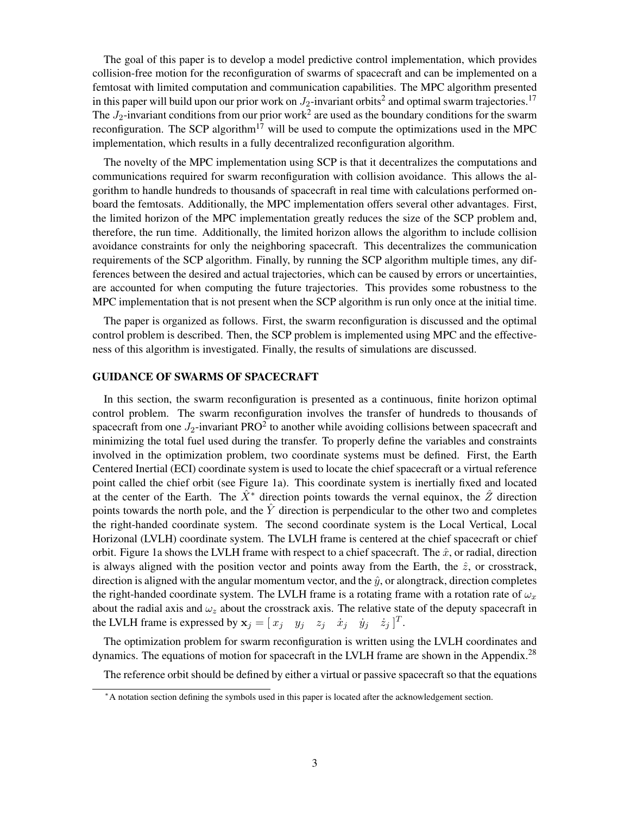The goal of this paper is to develop a model predictive control implementation, which provides collision-free motion for the reconfiguration of swarms of spacecraft and can be implemented on a femtosat with limited computation and communication capabilities. The MPC algorithm presented in this paper will build upon our prior work on  $J_2$  $J_2$ -invariant orbits $^2$  and optimal swarm trajectories.  $^{17}$  $^{17}$  $^{17}$ The  $J_2$  $J_2$ -invariant conditions from our prior work<sup>2</sup> are used as the boundary conditions for the swarm reconfiguration. The SCP algorithm<sup>[17](#page-19-2)</sup> will be used to compute the optimizations used in the MPC implementation, which results in a fully decentralized reconfiguration algorithm.

The novelty of the MPC implementation using SCP is that it decentralizes the computations and communications required for swarm reconfiguration with collision avoidance. This allows the algorithm to handle hundreds to thousands of spacecraft in real time with calculations performed onboard the femtosats. Additionally, the MPC implementation offers several other advantages. First, the limited horizon of the MPC implementation greatly reduces the size of the SCP problem and, therefore, the run time. Additionally, the limited horizon allows the algorithm to include collision avoidance constraints for only the neighboring spacecraft. This decentralizes the communication requirements of the SCP algorithm. Finally, by running the SCP algorithm multiple times, any differences between the desired and actual trajectories, which can be caused by errors or uncertainties, are accounted for when computing the future trajectories. This provides some robustness to the MPC implementation that is not present when the SCP algorithm is run only once at the initial time.

The paper is organized as follows. First, the swarm reconfiguration is discussed and the optimal control problem is described. Then, the SCP problem is implemented using MPC and the effectiveness of this algorithm is investigated. Finally, the results of simulations are discussed.

#### GUIDANCE OF SWARMS OF SPACECRAFT

In this section, the swarm reconfiguration is presented as a continuous, finite horizon optimal control problem. The swarm reconfiguration involves the transfer of hundreds to thousands of spacecraft from one  $J_2$  $J_2$ -invariant PRO<sup>2</sup> to another while avoiding collisions between spacecraft and minimizing the total fuel used during the transfer. To properly define the variables and constraints involved in the optimization problem, two coordinate systems must be defined. First, the Earth Centered Inertial (ECI) coordinate system is used to locate the chief spacecraft or a virtual reference point called the chief orbit (see Figure [1a](#page-3-0)). This coordinate system is inertially fixed and located at the center of the Earth. The  $\hat{X}^*$  direction points towards the vernal equinox, the  $\hat{Z}$  direction points towards the north pole, and the  $\hat{Y}$  direction is perpendicular to the other two and completes the right-handed coordinate system. The second coordinate system is the Local Vertical, Local Horizonal (LVLH) coordinate system. The LVLH frame is centered at the chief spacecraft or chief orbit. Figure [1a](#page-3-0) shows the LVLH frame with respect to a chief spacecraft. The  $\hat{x}$ , or radial, direction is always aligned with the position vector and points away from the Earth, the  $\hat{z}$ , or crosstrack, direction is aligned with the angular momentum vector, and the  $\hat{y}$ , or alongtrack, direction completes the right-handed coordinate system. The LVLH frame is a rotating frame with a rotation rate of  $\omega_x$ about the radial axis and  $\omega_z$  about the crosstrack axis. The relative state of the deputy spacecraft in the LVLH frame is expressed by  $x_j = [x_j \quad y_j \quad z_j \quad \dot{x}_j \quad \dot{y}_j \quad \dot{z}_j]^T$ .

The optimization problem for swarm reconfiguration is written using the LVLH coordinates and dynamics. The equations of motion for spacecraft in the LVLH frame are shown in the Appendix.<sup>[28](#page-19-13)</sup>

The reference orbit should be defined by either a virtual or passive spacecraft so that the equations

<span id="page-2-0"></span><sup>∗</sup>A notation section defining the symbols used in this paper is located after the acknowledgement section.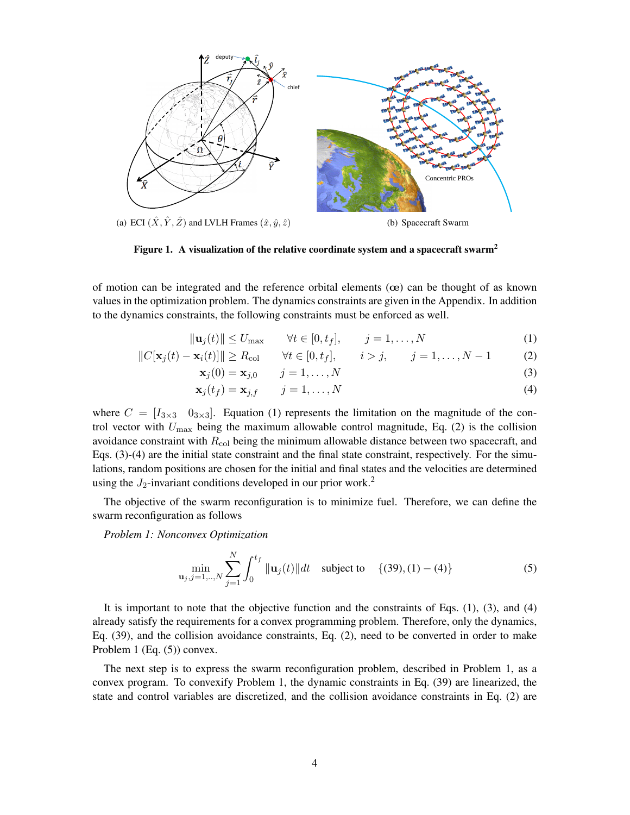

<span id="page-3-0"></span>Figure 1. A visualization of the relative coordinate system and a spacecraft swarm<sup>[2](#page-18-1)</sup>

of motion can be integrated and the reference orbital elements  $($ ce) can be thought of as known values in the optimization problem. The dynamics constraints are given in the Appendix. In addition to the dynamics constraints, the following constraints must be enforced as well.

$$
\|\mathbf{u}_j(t)\| \le U_{\text{max}} \qquad \forall t \in [0, t_f], \qquad j = 1, \dots, N \tag{1}
$$

$$
||C[\mathbf{x}_{j}(t) - \mathbf{x}_{i}(t)]|| \ge R_{\text{col}} \qquad \forall t \in [0, t_{f}], \qquad i > j, \qquad j = 1, ..., N - 1 \tag{2}
$$

$$
\mathbf{x}_{j}(0) = \mathbf{x}_{j,0} \qquad j = 1,\ldots,N
$$
\n(3)

<span id="page-3-4"></span><span id="page-3-3"></span><span id="page-3-2"></span><span id="page-3-1"></span>
$$
\mathbf{x}_j(t_f) = \mathbf{x}_{j,f} \qquad j = 1,\dots,N \tag{4}
$$

where  $C = [I_{3\times 3} \ 0_{3\times 3}]$ . Equation [\(1\)](#page-3-1) represents the limitation on the magnitude of the control vector with  $U_{\text{max}}$  being the maximum allowable control magnitude, Eq. [\(2\)](#page-3-2) is the collision avoidance constraint with  $R_{\text{col}}$  being the minimum allowable distance between two spacecraft, and Eqs. [\(3\)](#page-3-3)-[\(4\)](#page-3-4) are the initial state constraint and the final state constraint, respectively. For the simulations, random positions are chosen for the initial and final states and the velocities are determined using the  $J_2$  $J_2$ -invariant conditions developed in our prior work.<sup>2</sup>

The objective of the swarm reconfiguration is to minimize fuel. Therefore, we can define the swarm reconfiguration as follows

*Problem 1: Nonconvex Optimization*

<span id="page-3-5"></span>
$$
\min_{\mathbf{u}_j, j=1,\dots,N} \sum_{j=1}^N \int_0^{t_f} \|\mathbf{u}_j(t)\| dt \quad \text{subject to} \quad \{(39), (1) - (4)\} \tag{5}
$$

It is important to note that the objective function and the constraints of Eqs. [\(1\)](#page-3-1), [\(3\)](#page-3-3), and [\(4\)](#page-3-4) already satisfy the requirements for a convex programming problem. Therefore, only the dynamics, Eq. [\(39\)](#page-17-0), and the collision avoidance constraints, Eq. [\(2\)](#page-3-2), need to be converted in order to make Problem 1 (Eq. [\(5\)](#page-3-5)) convex.

The next step is to express the swarm reconfiguration problem, described in Problem 1, as a convex program. To convexify Problem 1, the dynamic constraints in Eq. [\(39\)](#page-17-0) are linearized, the state and control variables are discretized, and the collision avoidance constraints in Eq. [\(2\)](#page-3-2) are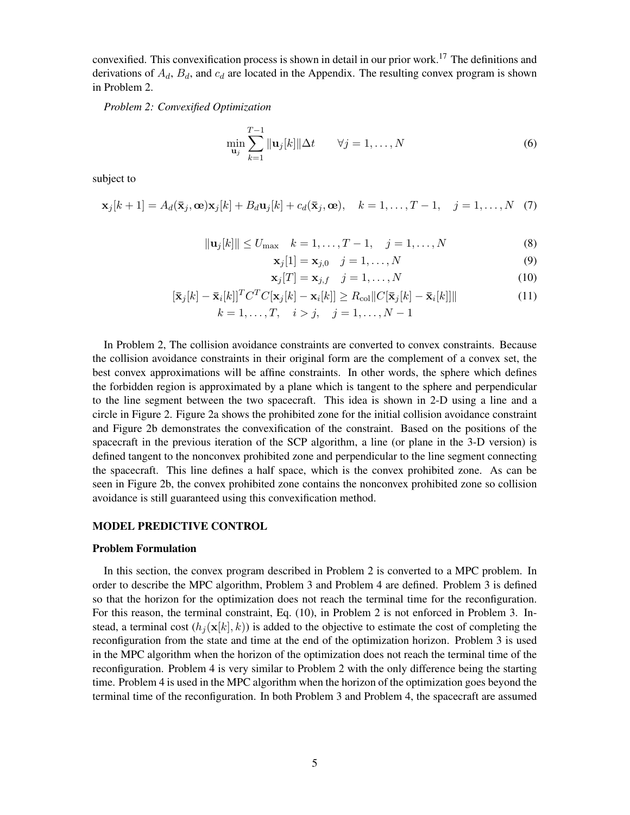convexified. This convexification process is shown in detail in our prior work.<sup>[17](#page-19-2)</sup> The definitions and derivations of  $A_d$ ,  $B_d$ , and  $c_d$  are located in the Appendix. The resulting convex program is shown in Problem 2.

*Problem 2: Convexified Optimization*

$$
\min_{\mathbf{u}_j} \sum_{k=1}^{T-1} \|\mathbf{u}_j[k]\| \Delta t \qquad \forall j = 1, \dots, N
$$
 (6)

subject to

$$
\mathbf{x}_j[k+1] = A_d(\bar{\mathbf{x}}_j, \mathbf{\omega})\mathbf{x}_j[k] + B_d \mathbf{u}_j[k] + c_d(\bar{\mathbf{x}}_j, \mathbf{\omega}), \quad k = 1, \dots, T-1, \quad j = 1, \dots, N \quad (7)
$$

$$
\|\mathbf{u}_{j}[k]\| \le U_{\text{max}} \quad k = 1, \dots, T - 1, \quad j = 1, \dots, N \tag{8}
$$

<span id="page-4-0"></span>
$$
\mathbf{x}_j[1] = \mathbf{x}_{j,0} \quad j = 1,\dots,N \tag{9}
$$

$$
\mathbf{x}_j[T] = \mathbf{x}_{j,f} \quad j = 1,\dots,N \tag{10}
$$

$$
[\bar{\mathbf{x}}_j[k] - \bar{\mathbf{x}}_i[k]]^T C^T C[\mathbf{x}_j[k] - \mathbf{x}_i[k]] \ge R_{\text{col}} ||C[\bar{\mathbf{x}}_j[k] - \bar{\mathbf{x}}_i[k]]||
$$
  
\n
$$
k = 1, \dots, T, \quad i > j, \quad j = 1, \dots, N - 1
$$
\n(11)

In Problem 2, The collision avoidance constraints are converted to convex constraints. Because the collision avoidance constraints in their original form are the complement of a convex set, the best convex approximations will be affine constraints. In other words, the sphere which defines the forbidden region is approximated by a plane which is tangent to the sphere and perpendicular to the line segment between the two spacecraft. This idea is shown in 2-D using a line and a circle in Figure [2.](#page-5-0) Figure [2a](#page-5-0) shows the prohibited zone for the initial collision avoidance constraint and Figure [2b](#page-5-0) demonstrates the convexification of the constraint. Based on the positions of the spacecraft in the previous iteration of the SCP algorithm, a line (or plane in the 3-D version) is defined tangent to the nonconvex prohibited zone and perpendicular to the line segment connecting the spacecraft. This line defines a half space, which is the convex prohibited zone. As can be seen in Figure [2b](#page-5-0), the convex prohibited zone contains the nonconvex prohibited zone so collision avoidance is still guaranteed using this convexification method.

#### MODEL PREDICTIVE CONTROL

#### Problem Formulation

In this section, the convex program described in Problem 2 is converted to a MPC problem. In order to describe the MPC algorithm, Problem 3 and Problem 4 are defined. Problem 3 is defined so that the horizon for the optimization does not reach the terminal time for the reconfiguration. For this reason, the terminal constraint, Eq. [\(10\)](#page-4-0), in Problem 2 is not enforced in Problem 3. Instead, a terminal cost  $(h_i(\mathbf{x}[k], k))$  is added to the objective to estimate the cost of completing the reconfiguration from the state and time at the end of the optimization horizon. Problem 3 is used in the MPC algorithm when the horizon of the optimization does not reach the terminal time of the reconfiguration. Problem 4 is very similar to Problem 2 with the only difference being the starting time. Problem 4 is used in the MPC algorithm when the horizon of the optimization goes beyond the terminal time of the reconfiguration. In both Problem 3 and Problem 4, the spacecraft are assumed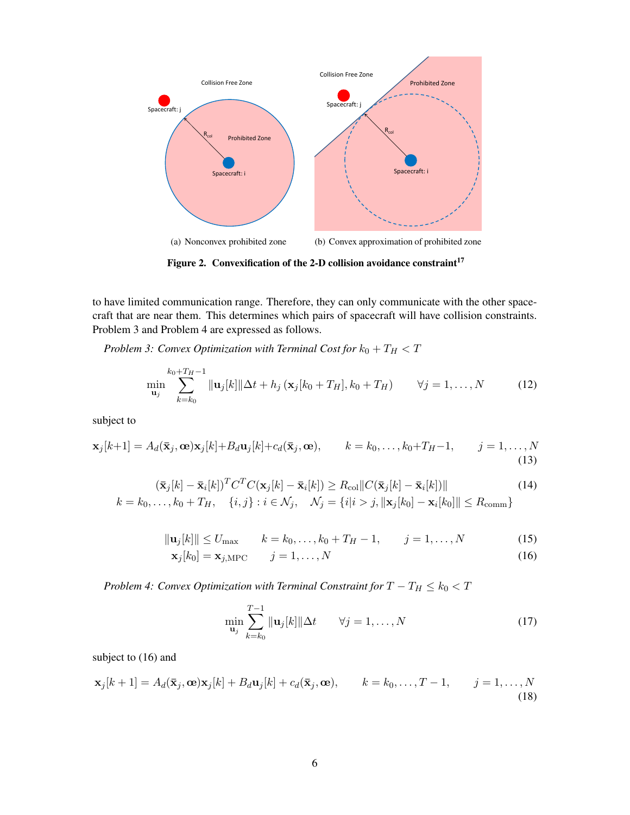

<span id="page-5-0"></span>Figure 2. Convexification of the 2-D collision avoidance constraint<sup>[17](#page-19-2)</sup>

to have limited communication range. Therefore, they can only communicate with the other spacecraft that are near them. This determines which pairs of spacecraft will have collision constraints. Problem 3 and Problem 4 are expressed as follows.

*Problem 3: Convex Optimization with Terminal Cost for*  $k_0 + T_H < T$ 

<span id="page-5-2"></span>
$$
\min_{\mathbf{u}_j} \sum_{k=k_0}^{k_0+T_H-1} \|\mathbf{u}_j[k]\| \Delta t + h_j \left( \mathbf{x}_j[k_0+T_H], k_0+T_H \right) \qquad \forall j=1,\ldots,N \tag{12}
$$

subject to

$$
\mathbf{x}_j[k+1] = A_d(\bar{\mathbf{x}}_j, \mathbf{\omega})\mathbf{x}_j[k] + B_d \mathbf{u}_j[k] + c_d(\bar{\mathbf{x}}_j, \mathbf{\omega}), \qquad k = k_0, \dots, k_0 + T_H - 1, \qquad j = 1, \dots, N
$$
\n(13)

$$
(\bar{\mathbf{x}}_j[k] - \bar{\mathbf{x}}_i[k])^T C^T C(\mathbf{x}_j[k] - \bar{\mathbf{x}}_i[k]) \ge R_{\text{col}} ||C(\bar{\mathbf{x}}_j[k] - \bar{\mathbf{x}}_i[k])||
$$
\n
$$
k = k_0, \dots, k_0 + T_H, \quad \{i, j\} : i \in \mathcal{N}_j, \quad \mathcal{N}_j = \{i | i > j, ||\mathbf{x}_j[k_0] - \mathbf{x}_i[k_0]|| \le R_{\text{comm}}\}
$$
\n(14)

$$
\|\mathbf{u}_{j}[k]\| \le U_{\text{max}} \qquad k = k_0, \dots, k_0 + T_H - 1, \qquad j = 1, \dots, N \tag{15}
$$

$$
\mathbf{x}_j[k_0] = \mathbf{x}_{j,\text{MPC}} \qquad j = 1, \dots, N \tag{16}
$$

*Problem 4: Convex Optimization with Terminal Constraint for*  $T - T_H \leq k_0 < T$ 

<span id="page-5-5"></span><span id="page-5-3"></span><span id="page-5-1"></span>
$$
\min_{\mathbf{u}_j} \sum_{k=k_0}^{T-1} \|\mathbf{u}_j[k]\| \Delta t \qquad \forall j = 1, \dots, N
$$
\n(17)

subject to  $(16)$  and

<span id="page-5-4"></span>
$$
\mathbf{x}_j[k+1] = A_d(\bar{\mathbf{x}}_j, \mathbf{\omega})\mathbf{x}_j[k] + B_d \mathbf{u}_j[k] + c_d(\bar{\mathbf{x}}_j, \mathbf{\omega}), \qquad k = k_0, \dots, T-1, \qquad j = 1, \dots, N
$$
\n(18)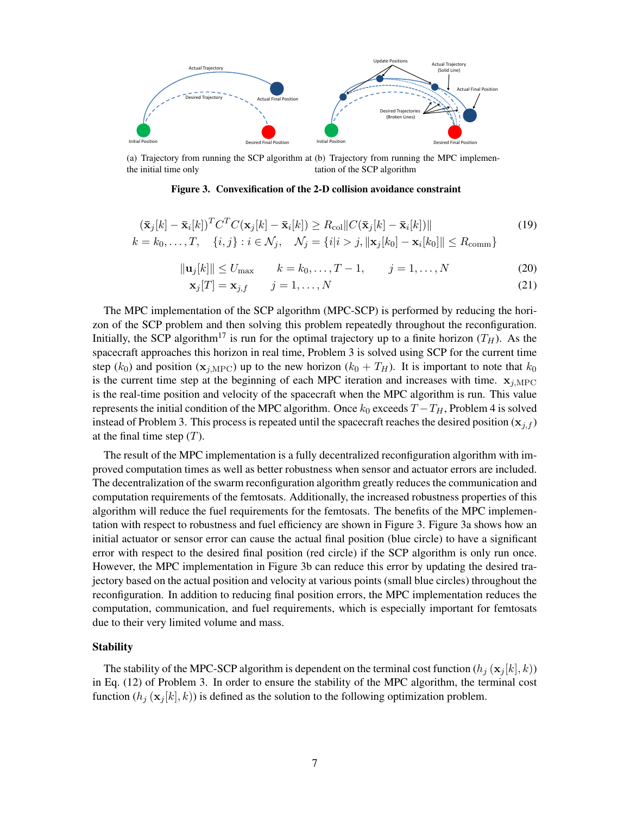

(a) Trajectory from running the SCP algorithm at (b) Trajectory from running the MPC implementhe initial time only tation of the SCP algorithm

<span id="page-6-0"></span>Figure 3. Convexification of the 2-D collision avoidance constraint

$$
(\bar{\mathbf{x}}_j[k] - \bar{\mathbf{x}}_i[k])^T C^T C(\mathbf{x}_j[k] - \bar{\mathbf{x}}_i[k]) \ge R_{\text{col}} ||C(\bar{\mathbf{x}}_j[k] - \bar{\mathbf{x}}_i[k])||
$$
\n
$$
k = k_0, \dots, T, \quad \{i, j\} : i \in \mathcal{N}_j, \quad \mathcal{N}_j = \{i|i > j, \|\mathbf{x}_j[k_0] - \mathbf{x}_i[k_0]\| \le R_{\text{comm}}\}
$$
\n
$$
(19)
$$

$$
\|\mathbf{u}_j[k]\| \le U_{\text{max}}
$$
  $k = k_0, ..., T - 1, \qquad j = 1, ..., N$  (20)

<span id="page-6-3"></span><span id="page-6-2"></span><span id="page-6-1"></span>
$$
\mathbf{x}_j[T] = \mathbf{x}_{j,f} \qquad j = 1,\dots,N \tag{21}
$$

The MPC implementation of the SCP algorithm (MPC-SCP) is performed by reducing the horizon of the SCP problem and then solving this problem repeatedly throughout the reconfiguration. Initially, the SCP algorithm<sup>[17](#page-19-2)</sup> is run for the optimal trajectory up to a finite horizon  $(T_H)$ . As the spacecraft approaches this horizon in real time, Problem 3 is solved using SCP for the current time step ( $k_0$ ) and position ( $\mathbf{x}_{j,\text{MPC}}$ ) up to the new horizon ( $k_0 + T_H$ ). It is important to note that  $k_0$ is the current time step at the beginning of each MPC iteration and increases with time.  $x_{i,MPC}$ is the real-time position and velocity of the spacecraft when the MPC algorithm is run. This value represents the initial condition of the MPC algorithm. Once  $k_0$  exceeds  $T - T_H$ , Problem 4 is solved instead of Problem 3. This process is repeated until the spacecraft reaches the desired position  $(x_{i,f})$ at the final time step  $(T)$ .

The result of the MPC implementation is a fully decentralized reconfiguration algorithm with improved computation times as well as better robustness when sensor and actuator errors are included. The decentralization of the swarm reconfiguration algorithm greatly reduces the communication and computation requirements of the femtosats. Additionally, the increased robustness properties of this algorithm will reduce the fuel requirements for the femtosats. The benefits of the MPC implementation with respect to robustness and fuel efficiency are shown in Figure [3.](#page-6-0) Figure [3a](#page-6-0) shows how an initial actuator or sensor error can cause the actual final position (blue circle) to have a significant error with respect to the desired final position (red circle) if the SCP algorithm is only run once. However, the MPC implementation in Figure [3b](#page-6-0) can reduce this error by updating the desired trajectory based on the actual position and velocity at various points (small blue circles) throughout the reconfiguration. In addition to reducing final position errors, the MPC implementation reduces the computation, communication, and fuel requirements, which is especially important for femtosats due to their very limited volume and mass.

#### **Stability**

The stability of the MPC-SCP algorithm is dependent on the terminal cost function  $(h_i(\mathbf{x}_i[k], k))$ in Eq. [\(12\)](#page-5-2) of Problem 3. In order to ensure the stability of the MPC algorithm, the terminal cost function  $(h_i (\mathbf{x}_i[k], k))$  is defined as the solution to the following optimization problem.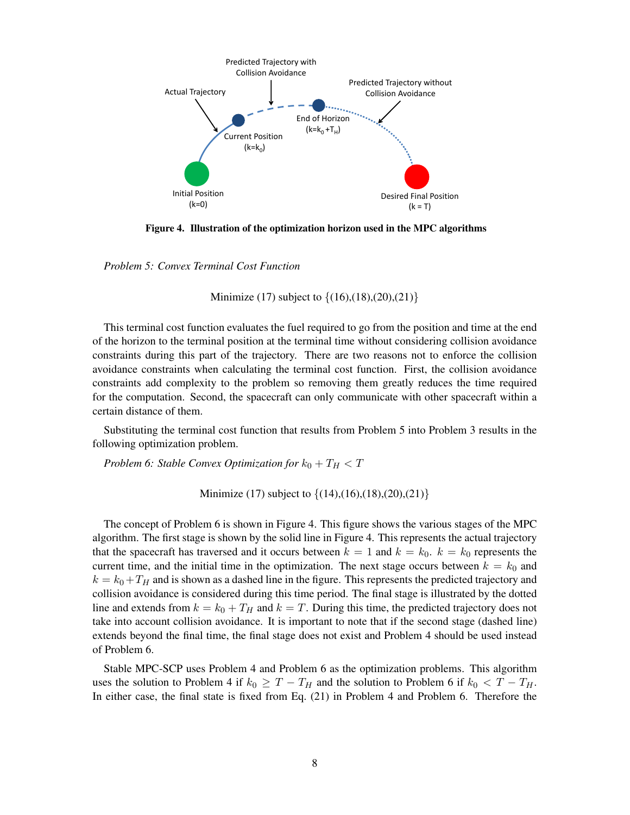

Figure 4. Illustration of the optimization horizon used in the MPC algorithms

*Problem 5: Convex Terminal Cost Function*

<span id="page-7-0"></span>Minimize [\(17\)](#page-5-3) subject to  $\{(16),(18),(20),(21)\}\$  $\{(16),(18),(20),(21)\}\$  $\{(16),(18),(20),(21)\}\$  $\{(16),(18),(20),(21)\}\$  $\{(16),(18),(20),(21)\}\$  $\{(16),(18),(20),(21)\}\$  $\{(16),(18),(20),(21)\}\$  $\{(16),(18),(20),(21)\}\$  $\{(16),(18),(20),(21)\}\$ 

This terminal cost function evaluates the fuel required to go from the position and time at the end of the horizon to the terminal position at the terminal time without considering collision avoidance constraints during this part of the trajectory. There are two reasons not to enforce the collision avoidance constraints when calculating the terminal cost function. First, the collision avoidance constraints add complexity to the problem so removing them greatly reduces the time required for the computation. Second, the spacecraft can only communicate with other spacecraft within a certain distance of them.

Substituting the terminal cost function that results from Problem 5 into Problem 3 results in the following optimization problem.

*Problem 6: Stable Convex Optimization for*  $k_0 + T_H < T$ 

Minimize [\(17\)](#page-5-3) subject to  $\{(14),(16),(18),(20),(21)\}$  $\{(14),(16),(18),(20),(21)\}$  $\{(14),(16),(18),(20),(21)\}$  $\{(14),(16),(18),(20),(21)\}$  $\{(14),(16),(18),(20),(21)\}$  $\{(14),(16),(18),(20),(21)\}$  $\{(14),(16),(18),(20),(21)\}$  $\{(14),(16),(18),(20),(21)\}$  $\{(14),(16),(18),(20),(21)\}$  $\{(14),(16),(18),(20),(21)\}$  $\{(14),(16),(18),(20),(21)\}$ 

The concept of Problem 6 is shown in Figure [4.](#page-7-0) This figure shows the various stages of the MPC algorithm. The first stage is shown by the solid line in Figure [4.](#page-7-0) This represents the actual trajectory that the spacecraft has traversed and it occurs between  $k = 1$  and  $k = k_0$ .  $k = k_0$  represents the current time, and the initial time in the optimization. The next stage occurs between  $k = k_0$  and  $k = k_0 + T_H$  and is shown as a dashed line in the figure. This represents the predicted trajectory and collision avoidance is considered during this time period. The final stage is illustrated by the dotted line and extends from  $k = k_0 + T_H$  and  $k = T$ . During this time, the predicted trajectory does not take into account collision avoidance. It is important to note that if the second stage (dashed line) extends beyond the final time, the final stage does not exist and Problem 4 should be used instead of Problem 6.

Stable MPC-SCP uses Problem 4 and Problem 6 as the optimization problems. This algorithm uses the solution to Problem 4 if  $k_0 \geq T - T_H$  and the solution to Problem 6 if  $k_0 < T - T_H$ . In either case, the final state is fixed from Eq. [\(21\)](#page-6-2) in Problem 4 and Problem 6. Therefore the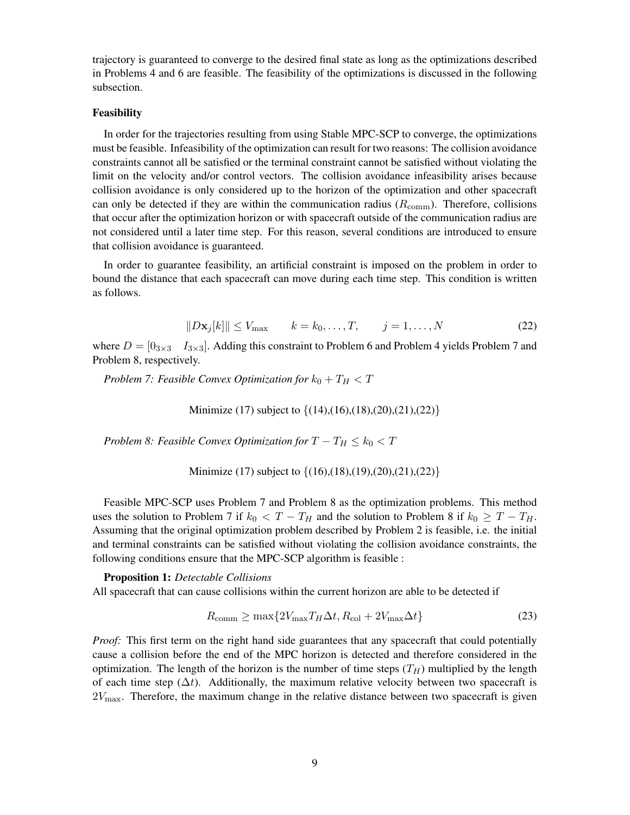trajectory is guaranteed to converge to the desired final state as long as the optimizations described in Problems 4 and 6 are feasible. The feasibility of the optimizations is discussed in the following subsection.

#### Feasibility

In order for the trajectories resulting from using Stable MPC-SCP to converge, the optimizations must be feasible. Infeasibility of the optimization can result for two reasons: The collision avoidance constraints cannot all be satisfied or the terminal constraint cannot be satisfied without violating the limit on the velocity and/or control vectors. The collision avoidance infeasibility arises because collision avoidance is only considered up to the horizon of the optimization and other spacecraft can only be detected if they are within the communication radius  $(R_{\text{comm}})$ . Therefore, collisions that occur after the optimization horizon or with spacecraft outside of the communication radius are not considered until a later time step. For this reason, several conditions are introduced to ensure that collision avoidance is guaranteed.

In order to guarantee feasibility, an artificial constraint is imposed on the problem in order to bound the distance that each spacecraft can move during each time step. This condition is written as follows.

<span id="page-8-0"></span>
$$
||D\mathbf{x}_j[k]|| \le V_{\text{max}} \qquad k = k_0, \dots, T, \qquad j = 1, \dots, N
$$
\n
$$
(22)
$$

where  $D = \begin{bmatrix} 0_{3\times3} & I_{3\times3} \end{bmatrix}$ . Adding this constraint to Problem 6 and Problem 4 yields Problem 7 and Problem 8, respectively.

*Problem 7: Feasible Convex Optimization for*  $k_0 + T_H < T$ 

Minimize [\(17\)](#page-5-3) subject to  $\{(14),(16),(18),(20),(21),(22)\}$  $\{(14),(16),(18),(20),(21),(22)\}$  $\{(14),(16),(18),(20),(21),(22)\}$  $\{(14),(16),(18),(20),(21),(22)\}$  $\{(14),(16),(18),(20),(21),(22)\}$  $\{(14),(16),(18),(20),(21),(22)\}$  $\{(14),(16),(18),(20),(21),(22)\}$  $\{(14),(16),(18),(20),(21),(22)\}$  $\{(14),(16),(18),(20),(21),(22)\}$  $\{(14),(16),(18),(20),(21),(22)\}$  $\{(14),(16),(18),(20),(21),(22)\}$  $\{(14),(16),(18),(20),(21),(22)\}$  $\{(14),(16),(18),(20),(21),(22)\}$ 

*Problem 8: Feasible Convex Optimization for*  $T - T_H \leq k_0 < T$ 

Minimize [\(17\)](#page-5-3) subject to  $\{(16),(18),(19),(20),(21),(22)\}$  $\{(16),(18),(19),(20),(21),(22)\}$  $\{(16),(18),(19),(20),(21),(22)\}$  $\{(16),(18),(19),(20),(21),(22)\}$  $\{(16),(18),(19),(20),(21),(22)\}$  $\{(16),(18),(19),(20),(21),(22)\}$  $\{(16),(18),(19),(20),(21),(22)\}$  $\{(16),(18),(19),(20),(21),(22)\}$  $\{(16),(18),(19),(20),(21),(22)\}$  $\{(16),(18),(19),(20),(21),(22)\}$  $\{(16),(18),(19),(20),(21),(22)\}$  $\{(16),(18),(19),(20),(21),(22)\}$  $\{(16),(18),(19),(20),(21),(22)\}$ 

Feasible MPC-SCP uses Problem 7 and Problem 8 as the optimization problems. This method uses the solution to Problem 7 if  $k_0 < T - T_H$  and the solution to Problem 8 if  $k_0 \geq T - T_H$ . Assuming that the original optimization problem described by Problem 2 is feasible, i.e. the initial and terminal constraints can be satisfied without violating the collision avoidance constraints, the following conditions ensure that the MPC-SCP algorithm is feasible :

Proposition 1: *Detectable Collisions* All spacecraft that can cause collisions within the current horizon are able to be detected if

<span id="page-8-1"></span>
$$
R_{\text{comm}} \ge \max\{2V_{\text{max}}T_H\Delta t, R_{\text{col}} + 2V_{\text{max}}\Delta t\} \tag{23}
$$

*Proof:* This first term on the right hand side guarantees that any spacecraft that could potentially cause a collision before the end of the MPC horizon is detected and therefore considered in the optimization. The length of the horizon is the number of time steps  $(T_H)$  multiplied by the length of each time step ( $\Delta t$ ). Additionally, the maximum relative velocity between two spacecraft is  $2V_{\text{max}}$ . Therefore, the maximum change in the relative distance between two spacecraft is given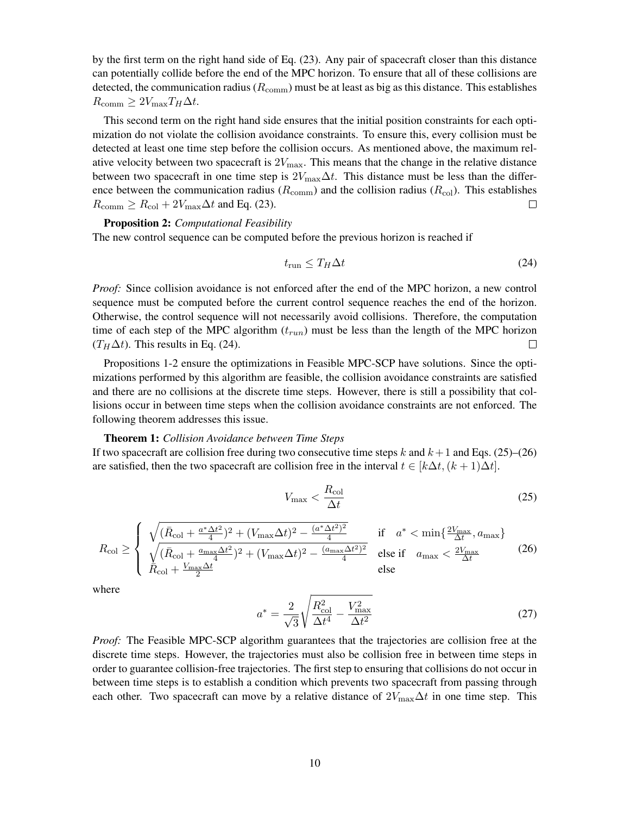by the first term on the right hand side of Eq. [\(23\)](#page-8-1). Any pair of spacecraft closer than this distance can potentially collide before the end of the MPC horizon. To ensure that all of these collisions are detected, the communication radius ( $R_{\text{comm}}$ ) must be at least as big as this distance. This establishes  $R_{\text{comm}} \geq 2V_{\text{max}}T_H\Delta t.$ 

This second term on the right hand side ensures that the initial position constraints for each optimization do not violate the collision avoidance constraints. To ensure this, every collision must be detected at least one time step before the collision occurs. As mentioned above, the maximum relative velocity between two spacecraft is  $2V_{\text{max}}$ . This means that the change in the relative distance between two spacecraft in one time step is  $2V_{\text{max}}\Delta t$ . This distance must be less than the difference between the communication radius ( $R_{\text{comm}}$ ) and the collision radius ( $R_{\text{col}}$ ). This establishes  $R_{\text{comm}} \geq R_{\text{col}} + 2V_{\text{max}}\Delta t$  and Eq. [\(23\)](#page-8-1).  $\Box$ 

Proposition 2: *Computational Feasibility* The new control sequence can be computed before the previous horizon is reached if

<span id="page-9-0"></span>
$$
t_{\rm run} \le T_H \Delta t \tag{24}
$$

*Proof:* Since collision avoidance is not enforced after the end of the MPC horizon, a new control sequence must be computed before the current control sequence reaches the end of the horizon. Otherwise, the control sequence will not necessarily avoid collisions. Therefore, the computation time of each step of the MPC algorithm  $(t_{run})$  must be less than the length of the MPC horizon  $(T_H \Delta t)$ . This results in Eq. [\(24\)](#page-9-0).  $\Box$ 

Propositions 1-2 ensure the optimizations in Feasible MPC-SCP have solutions. Since the optimizations performed by this algorithm are feasible, the collision avoidance constraints are satisfied and there are no collisions at the discrete time steps. However, there is still a possibility that collisions occur in between time steps when the collision avoidance constraints are not enforced. The following theorem addresses this issue.

#### Theorem 1: *Collision Avoidance between Time Steps*

If two spacecraft are collision free during two consecutive time steps k and  $k + 1$  and Eqs. [\(25\)](#page-9-1)–[\(26\)](#page-9-2) are satisfied, then the two spacecraft are collision free in the interval  $t \in [k\Delta t, (k+1)\Delta t]$ .

<span id="page-9-1"></span>
$$
V_{\text{max}} < \frac{R_{\text{col}}}{\Delta t} \tag{25}
$$

<span id="page-9-2"></span>
$$
R_{\rm col} \ge \begin{cases} \sqrt{(\bar{R}_{\rm col} + \frac{a^* \Delta t^2}{4})^2 + (V_{\rm max} \Delta t)^2 - \frac{(a^* \Delta t^2)^2}{4}} & \text{if } a^* < \min\{\frac{2V_{\rm max}}{\Delta t}, a_{\rm max}\} \\ \sqrt{(\bar{R}_{\rm col} + \frac{a_{\rm max} \Delta t^2}{4})^2 + (V_{\rm max} \Delta t)^2 - \frac{(a_{\rm max} \Delta t^2)^2}{4}} & \text{else if } a_{\rm max} < \frac{2V_{\rm max}}{\Delta t} \\ \bar{R}_{\rm col} + \frac{V_{\rm max} \Delta t}{2} & \text{else} \end{cases} \tag{26}
$$

where

<span id="page-9-3"></span>
$$
a^* = \frac{2}{\sqrt{3}} \sqrt{\frac{R_{\text{col}}^2}{\Delta t^4} - \frac{V_{\text{max}}^2}{\Delta t^2}}
$$
(27)

*Proof:* The Feasible MPC-SCP algorithm guarantees that the trajectories are collision free at the discrete time steps. However, the trajectories must also be collision free in between time steps in order to guarantee collision-free trajectories. The first step to ensuring that collisions do not occur in between time steps is to establish a condition which prevents two spacecraft from passing through each other. Two spacecraft can move by a relative distance of  $2V_{\text{max}}\Delta t$  in one time step. This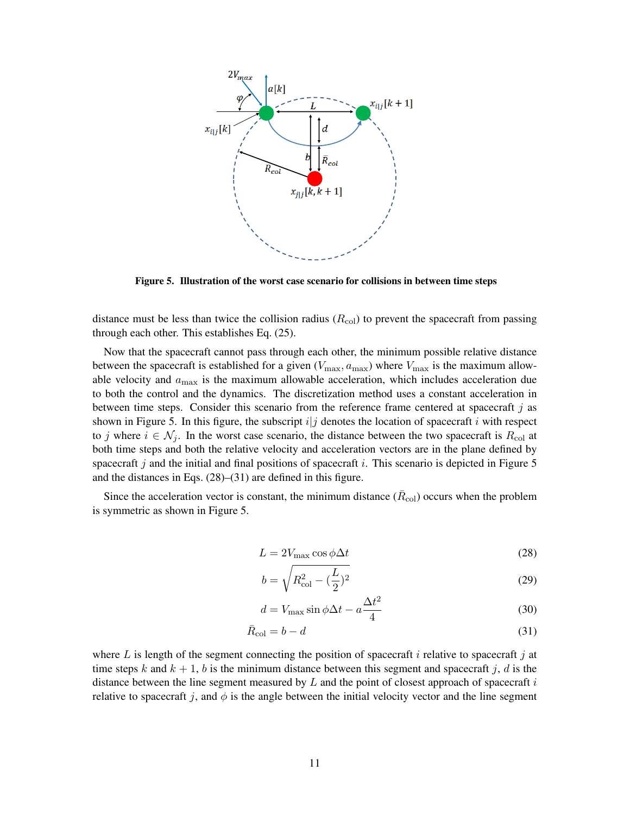

<span id="page-10-0"></span>Figure 5. Illustration of the worst case scenario for collisions in between time steps

distance must be less than twice the collision radius  $(R_{\text{col}})$  to prevent the spacecraft from passing through each other. This establishes Eq. [\(25\)](#page-9-1).

Now that the spacecraft cannot pass through each other, the minimum possible relative distance between the spacecraft is established for a given  $(V_{\text{max}}, a_{\text{max}})$  where  $V_{\text{max}}$  is the maximum allowable velocity and  $a_{\text{max}}$  is the maximum allowable acceleration, which includes acceleration due to both the control and the dynamics. The discretization method uses a constant acceleration in between time steps. Consider this scenario from the reference frame centered at spacecraft  $j$  as shown in Figure [5.](#page-10-0) In this figure, the subscript  $i|j$  denotes the location of spacecraft i with respect to j where  $i \in \mathcal{N}_j$ . In the worst case scenario, the distance between the two spacecraft is  $R_{\text{col}}$  at both time steps and both the relative velocity and acceleration vectors are in the plane defined by spacecraft j and the initial and final positions of spacecraft i. This scenario is depicted in Figure [5](#page-10-0) and the distances in Eqs. [\(28\)](#page-10-1)–[\(31\)](#page-10-2) are defined in this figure.

Since the acceleration vector is constant, the minimum distance  $(\bar{R}_{\text{col}})$  occurs when the problem is symmetric as shown in Figure [5.](#page-10-0)

$$
L = 2V_{\text{max}} \cos \phi \Delta t \tag{28}
$$

<span id="page-10-4"></span><span id="page-10-3"></span><span id="page-10-2"></span><span id="page-10-1"></span>
$$
b = \sqrt{R_{\rm col}^2 - (\frac{L}{2})^2}
$$
 (29)

$$
d = V_{\text{max}} \sin \phi \Delta t - a \frac{\Delta t^2}{4}
$$
 (30)

$$
\bar{R}_{\rm col} = b - d \tag{31}
$$

where L is length of the segment connecting the position of spacecraft i relative to spacecraft j at time steps k and  $k + 1$ , b is the minimum distance between this segment and spacecraft j, d is the distance between the line segment measured by  $L$  and the point of closest approach of spacecraft  $i$ relative to spacecraft j, and  $\phi$  is the angle between the initial velocity vector and the line segment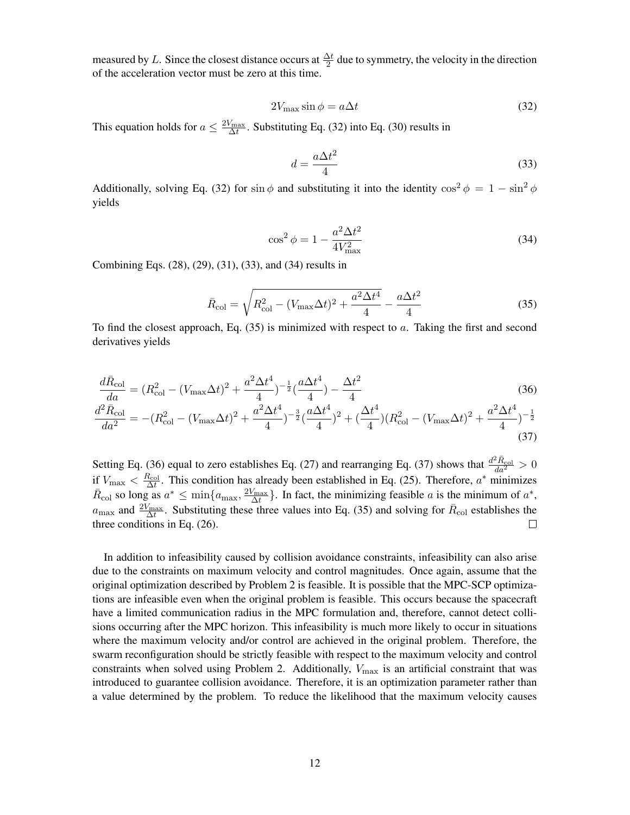measured by L. Since the closest distance occurs at  $\frac{\Delta t}{2}$  due to symmetry, the velocity in the direction of the acceleration vector must be zero at this time.

<span id="page-11-0"></span>
$$
2V_{\text{max}}\sin\phi = a\Delta t\tag{32}
$$

This equation holds for  $a \leq \frac{2V_{\text{max}}}{\Delta t}$ . Substituting Eq. [\(32\)](#page-11-0) into Eq. [\(30\)](#page-10-3) results in

<span id="page-11-1"></span>
$$
d = \frac{a\Delta t^2}{4} \tag{33}
$$

Additionally, solving Eq. [\(32\)](#page-11-0) for sin  $\phi$  and substituting it into the identity  $\cos^2 \phi = 1 - \sin^2 \phi$ yields

<span id="page-11-2"></span>
$$
\cos^2 \phi = 1 - \frac{a^2 \Delta t^2}{4V_{\text{max}}^2} \tag{34}
$$

<span id="page-11-5"></span><span id="page-11-4"></span>(37)

Combining Eqs. [\(28\)](#page-10-1), [\(29\)](#page-10-4), [\(31\)](#page-10-2), [\(33\)](#page-11-1), and [\(34\)](#page-11-2) results in

<span id="page-11-3"></span>
$$
\bar{R}_{\rm col} = \sqrt{R_{\rm col}^2 - (V_{\rm max}\Delta t)^2 + \frac{a^2 \Delta t^4}{4}} - \frac{a\Delta t^2}{4}
$$
\n(35)

To find the closest approach, Eq.  $(35)$  is minimized with respect to a. Taking the first and second derivatives yields

$$
\frac{d\bar{R}_{\text{col}}}{da} = (R_{\text{col}}^2 - (V_{\text{max}}\Delta t)^2 + \frac{a^2 \Delta t^4}{4})^{-\frac{1}{2}}(\frac{a \Delta t^4}{4}) - \frac{\Delta t^2}{4}
$$
\n
$$
\frac{d^2\bar{R}_{\text{col}}}{da^2} = -(R_{\text{col}}^2 - (V_{\text{max}}\Delta t)^2 + \frac{a^2 \Delta t^4}{4})^{-\frac{3}{2}}(\frac{a \Delta t^4}{4})^2 + (\frac{\Delta t^4}{4})(R_{\text{col}}^2 - (V_{\text{max}}\Delta t)^2 + \frac{a^2 \Delta t^4}{4})^{-\frac{1}{2}}
$$
\n(36)

Setting Eq. [\(36\)](#page-11-4) equal to zero establishes Eq. [\(27\)](#page-9-3) and rearranging Eq. [\(37\)](#page-11-5) shows that  $\frac{d^2 \bar{R}_{\text{col}}}{da^2} > 0$ if  $V_{\text{max}} < \frac{R_{\text{col}}}{\Delta t}$ . This condition has already been established in Eq. [\(25\)](#page-9-1). Therefore,  $a^*$  minimizes  $\overline{R}_{\text{col}}$  so long as  $a^* \leq \min\{a_{\text{max}}, \frac{2V_{\text{max}}}{\Delta t}\}\.$  In fact, the minimizing feasible a is the minimum of  $a^*$ ,  $a_{\text{max}}$  and  $\frac{2V_{\text{max}}}{\Delta t}$ . Substituting these three values into Eq. [\(35\)](#page-11-3) and solving for  $\bar{R}_{\text{col}}$  establishes the three conditions in Eq. [\(26\)](#page-9-2).  $\Box$ 

In addition to infeasibility caused by collision avoidance constraints, infeasibility can also arise due to the constraints on maximum velocity and control magnitudes. Once again, assume that the original optimization described by Problem 2 is feasible. It is possible that the MPC-SCP optimizations are infeasible even when the original problem is feasible. This occurs because the spacecraft have a limited communication radius in the MPC formulation and, therefore, cannot detect collisions occurring after the MPC horizon. This infeasibility is much more likely to occur in situations where the maximum velocity and/or control are achieved in the original problem. Therefore, the swarm reconfiguration should be strictly feasible with respect to the maximum velocity and control constraints when solved using Problem 2. Additionally,  $V_{\text{max}}$  is an artificial constraint that was introduced to guarantee collision avoidance. Therefore, it is an optimization parameter rather than a value determined by the problem. To reduce the likelihood that the maximum velocity causes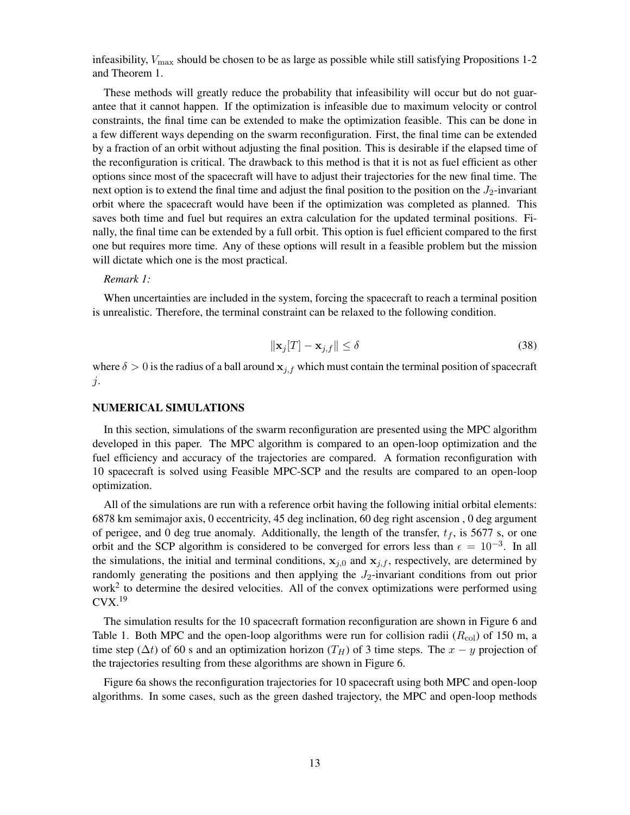infeasibility,  $V_{\text{max}}$  should be chosen to be as large as possible while still satisfying Propositions 1-2 and Theorem 1.

These methods will greatly reduce the probability that infeasibility will occur but do not guarantee that it cannot happen. If the optimization is infeasible due to maximum velocity or control constraints, the final time can be extended to make the optimization feasible. This can be done in a few different ways depending on the swarm reconfiguration. First, the final time can be extended by a fraction of an orbit without adjusting the final position. This is desirable if the elapsed time of the reconfiguration is critical. The drawback to this method is that it is not as fuel efficient as other options since most of the spacecraft will have to adjust their trajectories for the new final time. The next option is to extend the final time and adjust the final position to the position on the  $J_2$ -invariant orbit where the spacecraft would have been if the optimization was completed as planned. This saves both time and fuel but requires an extra calculation for the updated terminal positions. Finally, the final time can be extended by a full orbit. This option is fuel efficient compared to the first one but requires more time. Any of these options will result in a feasible problem but the mission will dictate which one is the most practical.

*Remark 1:*

When uncertainties are included in the system, forcing the spacecraft to reach a terminal position is unrealistic. Therefore, the terminal constraint can be relaxed to the following condition.

$$
\|\mathbf{x}_j[T] - \mathbf{x}_{j,f}\| \le \delta \tag{38}
$$

where  $\delta > 0$  is the radius of a ball around  $x_{j,f}$  which must contain the terminal position of spacecraft j.

#### NUMERICAL SIMULATIONS

In this section, simulations of the swarm reconfiguration are presented using the MPC algorithm developed in this paper. The MPC algorithm is compared to an open-loop optimization and the fuel efficiency and accuracy of the trajectories are compared. A formation reconfiguration with 10 spacecraft is solved using Feasible MPC-SCP and the results are compared to an open-loop optimization.

All of the simulations are run with a reference orbit having the following initial orbital elements: 6878 km semimajor axis, 0 eccentricity, 45 deg inclination, 60 deg right ascension , 0 deg argument of perigee, and 0 deg true anomaly. Additionally, the length of the transfer,  $t_f$ , is 5677 s, or one orbit and the SCP algorithm is considered to be converged for errors less than  $\epsilon = 10^{-3}$ . In all the simulations, the initial and terminal conditions,  $x_{i,0}$  and  $x_{i,f}$ , respectively, are determined by randomly generating the positions and then applying the  $J_2$ -invariant conditions from out prior work<sup>[2](#page-18-1)</sup> to determine the desired velocities. All of the convex optimizations were performed using  $Cvx.<sup>19</sup>$  $Cvx.<sup>19</sup>$  $Cvx.<sup>19</sup>$ 

The simulation results for the 10 spacecraft formation reconfiguration are shown in Figure [6](#page-13-0) and Table [1.](#page-14-0) Both MPC and the open-loop algorithms were run for collision radii  $(R_{\text{col}})$  of 150 m, a time step ( $\Delta t$ ) of 60 s and an optimization horizon (T<sub>H</sub>) of 3 time steps. The x – y projection of the trajectories resulting from these algorithms are shown in Figure [6.](#page-13-0)

Figure [6a](#page-13-0) shows the reconfiguration trajectories for 10 spacecraft using both MPC and open-loop algorithms. In some cases, such as the green dashed trajectory, the MPC and open-loop methods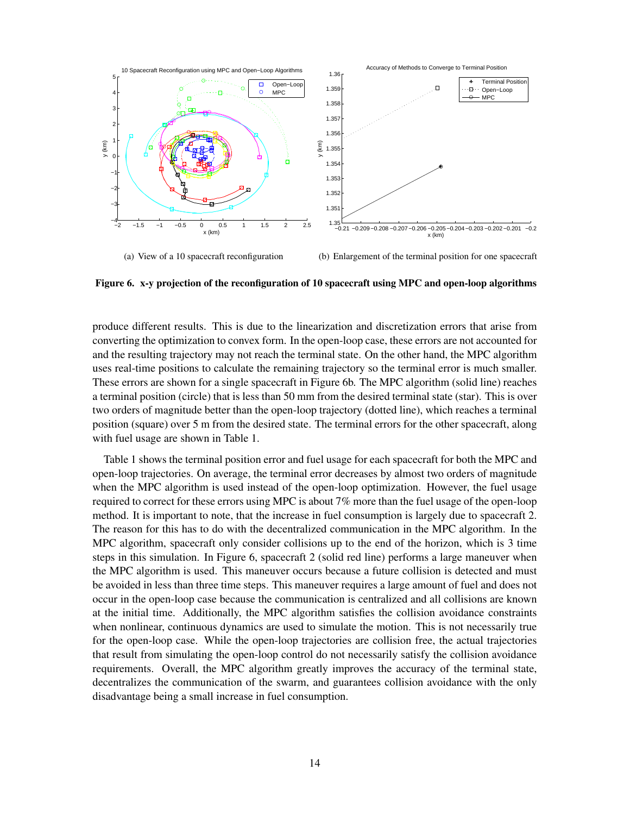

<span id="page-13-0"></span>Figure 6. x-y projection of the reconfiguration of 10 spacecraft using MPC and open-loop algorithms

produce different results. This is due to the linearization and discretization errors that arise from converting the optimization to convex form. In the open-loop case, these errors are not accounted for and the resulting trajectory may not reach the terminal state. On the other hand, the MPC algorithm uses real-time positions to calculate the remaining trajectory so the terminal error is much smaller. These errors are shown for a single spacecraft in Figure [6b](#page-13-0). The MPC algorithm (solid line) reaches a terminal position (circle) that is less than 50 mm from the desired terminal state (star). This is over two orders of magnitude better than the open-loop trajectory (dotted line), which reaches a terminal position (square) over 5 m from the desired state. The terminal errors for the other spacecraft, along with fuel usage are shown in Table [1.](#page-14-0)

Table [1](#page-14-0) shows the terminal position error and fuel usage for each spacecraft for both the MPC and open-loop trajectories. On average, the terminal error decreases by almost two orders of magnitude when the MPC algorithm is used instead of the open-loop optimization. However, the fuel usage required to correct for these errors using MPC is about 7% more than the fuel usage of the open-loop method. It is important to note, that the increase in fuel consumption is largely due to spacecraft 2. The reason for this has to do with the decentralized communication in the MPC algorithm. In the MPC algorithm, spacecraft only consider collisions up to the end of the horizon, which is 3 time steps in this simulation. In Figure [6,](#page-13-0) spacecraft 2 (solid red line) performs a large maneuver when the MPC algorithm is used. This maneuver occurs because a future collision is detected and must be avoided in less than three time steps. This maneuver requires a large amount of fuel and does not occur in the open-loop case because the communication is centralized and all collisions are known at the initial time. Additionally, the MPC algorithm satisfies the collision avoidance constraints when nonlinear, continuous dynamics are used to simulate the motion. This is not necessarily true for the open-loop case. While the open-loop trajectories are collision free, the actual trajectories that result from simulating the open-loop control do not necessarily satisfy the collision avoidance requirements. Overall, the MPC algorithm greatly improves the accuracy of the terminal state, decentralizes the communication of the swarm, and guarantees collision avoidance with the only disadvantage being a small increase in fuel consumption.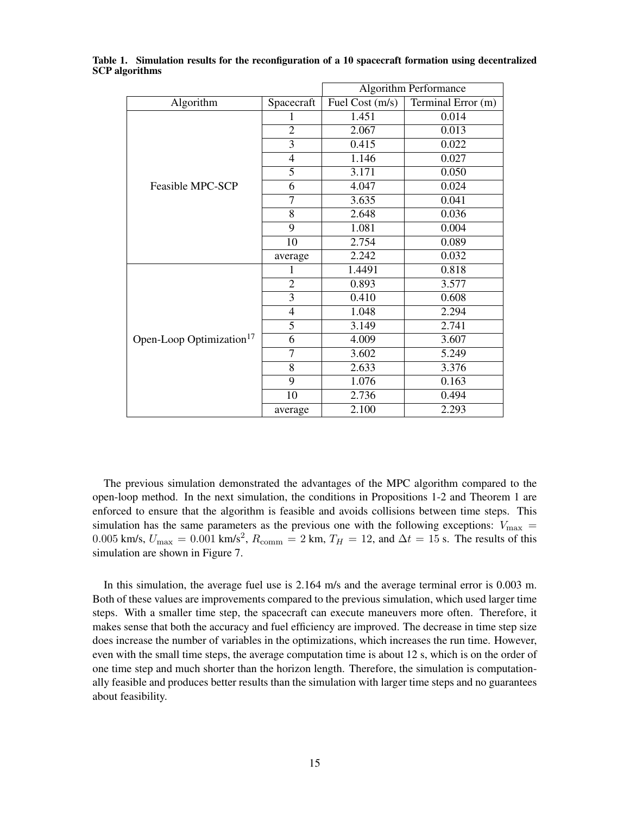| Algorithm Performance                |                |                 |                    |
|--------------------------------------|----------------|-----------------|--------------------|
| Algorithm                            | Spacecraft     | Fuel Cost (m/s) | Terminal Error (m) |
| Feasible MPC-SCP                     |                | 1.451           | 0.014              |
|                                      | $\overline{2}$ | 2.067           | 0.013              |
|                                      | 3              | 0.415           | 0.022              |
|                                      | $\overline{4}$ | 1.146           | 0.027              |
|                                      | $\overline{5}$ | 3.171           | 0.050              |
|                                      | 6              | 4.047           | 0.024              |
|                                      | $\overline{7}$ | 3.635           | 0.041              |
|                                      | $\overline{8}$ | 2.648           | 0.036              |
|                                      | 9              | 1.081           | 0.004              |
|                                      | 10             | 2.754           | 0.089              |
|                                      | average        | 2.242           | 0.032              |
| Open-Loop Optimization <sup>17</sup> | 1              | 1.4491          | 0.818              |
|                                      | $\overline{2}$ | 0.893           | 3.577              |
|                                      | $\overline{3}$ | 0.410           | 0.608              |
|                                      | $\overline{4}$ | 1.048           | 2.294              |
|                                      | $\overline{5}$ | 3.149           | 2.741              |
|                                      | 6              | 4.009           | 3.607              |
|                                      | $\overline{7}$ | 3.602           | 5.249              |
|                                      | 8              | 2.633           | 3.376              |
|                                      | 9              | 1.076           | 0.163              |
|                                      | 10             | 2.736           | 0.494              |
|                                      | average        | 2.100           | 2.293              |

<span id="page-14-0"></span>Table 1. Simulation results for the reconfiguration of a 10 spacecraft formation using decentralized SCP algorithms

The previous simulation demonstrated the advantages of the MPC algorithm compared to the open-loop method. In the next simulation, the conditions in Propositions 1-2 and Theorem 1 are enforced to ensure that the algorithm is feasible and avoids collisions between time steps. This simulation has the same parameters as the previous one with the following exceptions:  $V_{\text{max}} =$ 0.005 km/s,  $U_{\text{max}} = 0.001 \text{ km/s}^2$ ,  $R_{\text{comm}} = 2 \text{ km}$ ,  $T_H = 12$ , and  $\Delta t = 15 \text{ s}$ . The results of this simulation are shown in Figure [7.](#page-15-0)

In this simulation, the average fuel use is 2.164 m/s and the average terminal error is 0.003 m. Both of these values are improvements compared to the previous simulation, which used larger time steps. With a smaller time step, the spacecraft can execute maneuvers more often. Therefore, it makes sense that both the accuracy and fuel efficiency are improved. The decrease in time step size does increase the number of variables in the optimizations, which increases the run time. However, even with the small time steps, the average computation time is about 12 s, which is on the order of one time step and much shorter than the horizon length. Therefore, the simulation is computationally feasible and produces better results than the simulation with larger time steps and no guarantees about feasibility.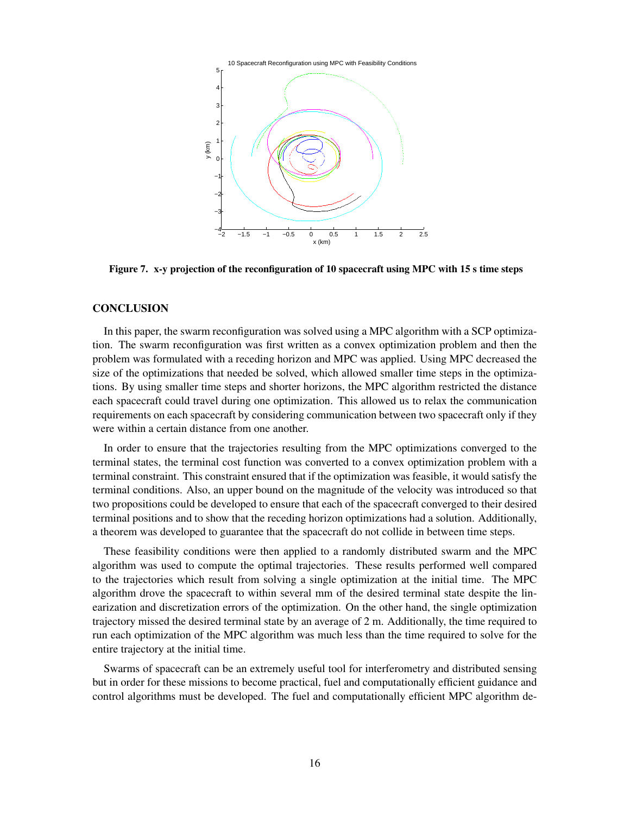<span id="page-15-0"></span>

Figure 7. x-y projection of the reconfiguration of 10 spacecraft using MPC with 15 s time steps

#### **CONCLUSION**

In this paper, the swarm reconfiguration was solved using a MPC algorithm with a SCP optimization. The swarm reconfiguration was first written as a convex optimization problem and then the problem was formulated with a receding horizon and MPC was applied. Using MPC decreased the size of the optimizations that needed be solved, which allowed smaller time steps in the optimizations. By using smaller time steps and shorter horizons, the MPC algorithm restricted the distance each spacecraft could travel during one optimization. This allowed us to relax the communication requirements on each spacecraft by considering communication between two spacecraft only if they were within a certain distance from one another.

In order to ensure that the trajectories resulting from the MPC optimizations converged to the terminal states, the terminal cost function was converted to a convex optimization problem with a terminal constraint. This constraint ensured that if the optimization was feasible, it would satisfy the terminal conditions. Also, an upper bound on the magnitude of the velocity was introduced so that two propositions could be developed to ensure that each of the spacecraft converged to their desired terminal positions and to show that the receding horizon optimizations had a solution. Additionally, a theorem was developed to guarantee that the spacecraft do not collide in between time steps.

These feasibility conditions were then applied to a randomly distributed swarm and the MPC algorithm was used to compute the optimal trajectories. These results performed well compared to the trajectories which result from solving a single optimization at the initial time. The MPC algorithm drove the spacecraft to within several mm of the desired terminal state despite the linearization and discretization errors of the optimization. On the other hand, the single optimization trajectory missed the desired terminal state by an average of 2 m. Additionally, the time required to run each optimization of the MPC algorithm was much less than the time required to solve for the entire trajectory at the initial time.

Swarms of spacecraft can be an extremely useful tool for interferometry and distributed sensing but in order for these missions to become practical, fuel and computationally efficient guidance and control algorithms must be developed. The fuel and computationally efficient MPC algorithm de-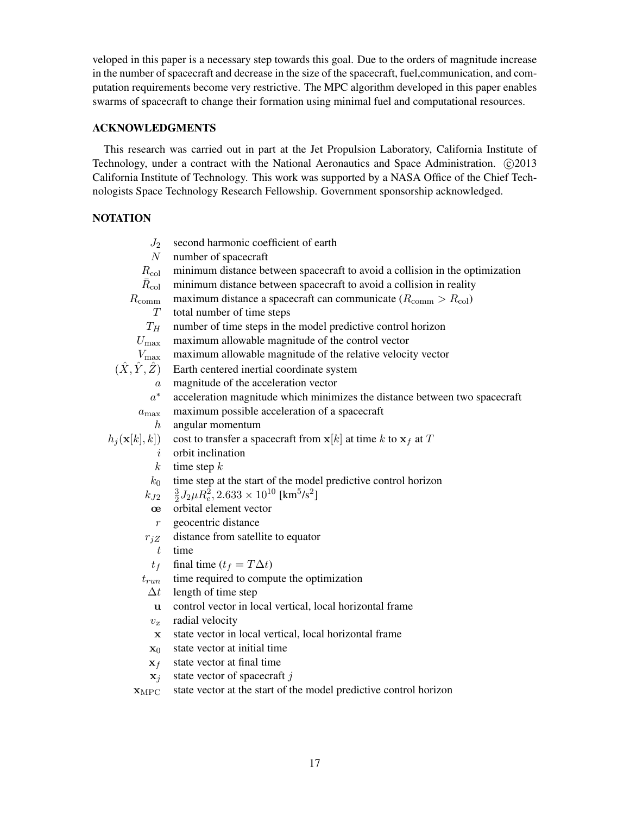veloped in this paper is a necessary step towards this goal. Due to the orders of magnitude increase in the number of spacecraft and decrease in the size of the spacecraft, fuel,communication, and computation requirements become very restrictive. The MPC algorithm developed in this paper enables swarms of spacecraft to change their formation using minimal fuel and computational resources.

## ACKNOWLEDGMENTS

This research was carried out in part at the Jet Propulsion Laboratory, California Institute of Technology, under a contract with the National Aeronautics and Space Administration. C 2013 California Institute of Technology. This work was supported by a NASA Office of the Chief Technologists Space Technology Research Fellowship. Government sponsorship acknowledged.

## **NOTATION**

| $J_2$                         | second harmonic coefficient of earth                                                  |
|-------------------------------|---------------------------------------------------------------------------------------|
| N                             | number of spacecraft                                                                  |
| $R_{\rm col}$                 | minimum distance between spacecraft to avoid a collision in the optimization          |
| $R_{\rm col}$                 | minimum distance between spacecraft to avoid a collision in reality                   |
| $R_{\rm comm}$                | maximum distance a spacecraft can communicate $(R_{\text{comm}} > R_{\text{col}})$    |
| T                             | total number of time steps                                                            |
| ${\mathcal T}_H$              | number of time steps in the model predictive control horizon                          |
| $U_{\rm max}$                 | maximum allowable magnitude of the control vector                                     |
| $V_{\rm max}$                 | maximum allowable magnitude of the relative velocity vector                           |
| $(\hat{X}, \hat{Y}, \hat{Z})$ | Earth centered inertial coordinate system                                             |
| $\boldsymbol{a}$              | magnitude of the acceleration vector                                                  |
| $a^\ast$                      | acceleration magnitude which minimizes the distance between two spacecraft            |
| $a_{\text{max}}$              | maximum possible acceleration of a spacecraft                                         |
| $\boldsymbol{h}$              | angular momentum                                                                      |
| $h_j(\mathbf{x}[k], k])$      | cost to transfer a spacecraft from $x[k]$ at time k to $x_f$ at T                     |
| i                             | orbit inclination                                                                     |
| $\boldsymbol{k}$              | time step $k$                                                                         |
| $k_0$                         | time step at the start of the model predictive control horizon                        |
| $k_{J2}$                      | $\frac{3}{2}J_2\mu R_e^2$ , $2.633 \times 10^{10}$ [km <sup>5</sup> /s <sup>2</sup> ] |
| œ                             | orbital element vector                                                                |
| $\mathfrak{r}$                | geocentric distance                                                                   |
| $r_{jZ}$                      | distance from satellite to equator                                                    |
| t                             | time                                                                                  |
| $t_f$                         | final time $(t_f = T\Delta t)$                                                        |
| $t_{run}$                     | time required to compute the optimization                                             |
| $\Delta t$                    | length of time step                                                                   |
| u                             | control vector in local vertical, local horizontal frame                              |
| $v_x$                         | radial velocity                                                                       |
| $\mathbf x$                   | state vector in local vertical, local horizontal frame                                |
| $\mathbf{x}_0$                | state vector at initial time                                                          |
| $\mathbf{x}_f$                | state vector at final time                                                            |
|                               | oto wooton of anogoganity                                                             |

 $x_j$  state vector of spacecraft j

 $x_{\text{MPC}}$  state vector at the start of the model predictive control horizon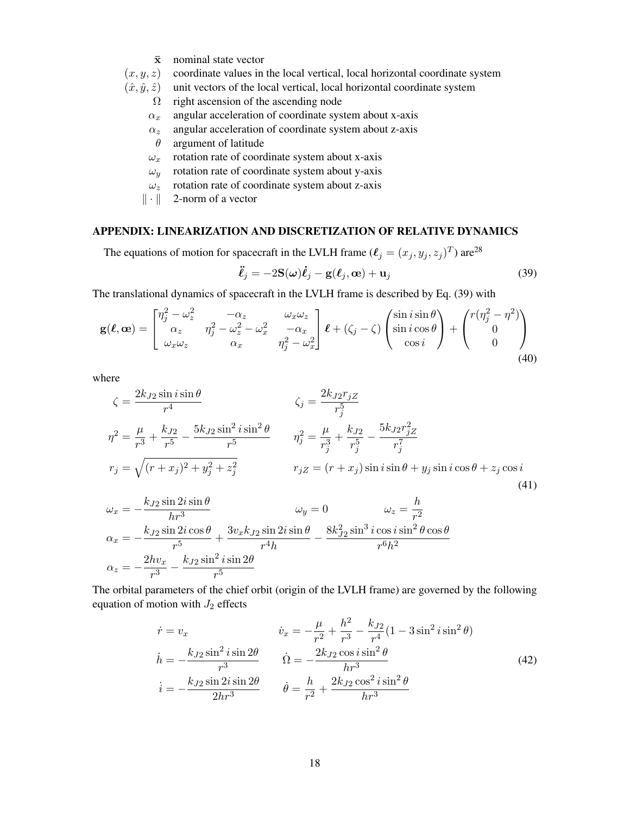- $\bar{x}$  nominal state vector
- $(x, y, z)$  coordinate values in the local vertical, local horizontal coordinate system
- $(\hat{x}, \hat{y}, \hat{z})$  unit vectors of the local vertical, local horizontal coordinate system
	- $\Omega$  right ascension of the ascending node
	- $\alpha_x$  angular acceleration of coordinate system about x-axis
	- $\alpha_z$  angular acceleration of coordinate system about z-axis
	- $\theta$  argument of latitude
	- $\omega_x$  rotation rate of coordinate system about x-axis
	- $\omega_y$  rotation rate of coordinate system about y-axis
	- $\omega_z$  rotation rate of coordinate system about z-axis
	- $\|\cdot\|$  2-norm of a vector

### APPENDIX: LINEARIZATION AND DISCRETIZATION OF RELATIVE DYNAMICS

The equations of motion for spacecraft in the LVLH frame  $(\ell_j = (x_j, y_j, z_j)^T)$  are<sup>[28](#page-19-13)</sup>

<span id="page-17-0"></span>
$$
\ddot{\ell}_j = -2\mathbf{S}(\omega)\dot{\ell}_j - \mathbf{g}(\ell_j, \mathbf{\omega}) + \mathbf{u}_j \tag{39}
$$

The translational dynamics of spacecraft in the LVLH frame is described by Eq. [\(39\)](#page-17-0) with

$$
\mathbf{g}(\boldsymbol{\ell}, \mathbf{\omega}) = \begin{bmatrix} \eta_j^2 - \omega_z^2 & -\alpha_z & \omega_x \omega_z \\ \alpha_z & \eta_j^2 - \omega_z^2 - \omega_x^2 & -\alpha_x \\ \omega_x \omega_z & \alpha_x & \eta_j^2 - \omega_x^2 \end{bmatrix} \boldsymbol{\ell} + (\zeta_j - \zeta) \begin{pmatrix} \sin i \sin \theta \\ \sin i \cos \theta \\ \cos i \end{pmatrix} + \begin{pmatrix} r(\eta_j^2 - \eta^2) \\ 0 \\ 0 \end{pmatrix}
$$
(40)

where

$$
\zeta = \frac{2k_{J2}\sin i \sin \theta}{r^4} \qquad \zeta_j = \frac{2k_{J2}r_{jZ}}{r_j^5}
$$
  

$$
\eta^2 = \frac{\mu}{r^3} + \frac{k_{J2}}{r^5} - \frac{5k_{J2}\sin^2 i \sin^2 \theta}{r^5} \qquad \eta_j^2 = \frac{\mu}{r_j^3} + \frac{k_{J2}}{r_j^5} - \frac{5k_{J2}r_{jZ}^2}{r_j^7}
$$
  

$$
r_j = \sqrt{(r+x_j)^2 + y_j^2 + z_j^2} \qquad r_{jZ} = (r+x_j)\sin i \sin \theta + y_j \sin i \cos \theta + z_j \cos i
$$
  
(41)

$$
\omega_x = -\frac{k_{J2}\sin 2i \sin \theta}{hr^3} \qquad \omega_y = 0 \qquad \omega_z = \frac{h}{r^2}
$$
  

$$
\alpha_x = -\frac{k_{J2}\sin 2i \cos \theta}{r^5} + \frac{3v_x k_{J2}\sin 2i \sin \theta}{r^4 h} - \frac{8k_{J2}^2 \sin^3 i \cos i \sin^2 \theta \cos \theta}{r^6 h^2}
$$
  

$$
\alpha_z = -\frac{2hv_x}{r^3} - \frac{k_{J2}\sin^2 i \sin 2\theta}{r^5}
$$

The orbital parameters of the chief orbit (origin of the LVLH frame) are governed by the following equation of motion with  $J_2$  effects

$$
\dot{r} = v_x \qquad \dot{v}_x = -\frac{\mu}{r^2} + \frac{h^2}{r^3} - \frac{k_{J2}}{r^4} (1 - 3\sin^2 i \sin^2 \theta) \n\dot{h} = -\frac{k_{J2} \sin^2 i \sin 2\theta}{r^3} \qquad \dot{\Omega} = -\frac{2k_{J2} \cos i \sin^2 \theta}{hr^3} \n\dot{i} = -\frac{k_{J2} \sin 2i \sin 2\theta}{2hr^3} \qquad \dot{\theta} = \frac{h}{r^2} + \frac{2k_{J2} \cos^2 i \sin^2 \theta}{hr^3}
$$
\n(42)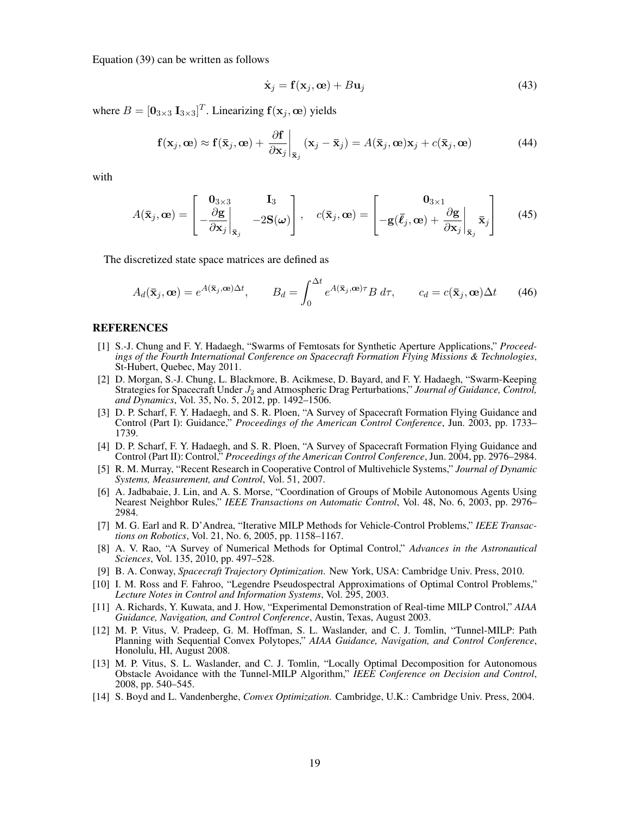Equation [\(39\)](#page-17-0) can be written as follows

$$
\dot{\mathbf{x}}_j = \mathbf{f}(\mathbf{x}_j, \mathbf{\omega}) + B\mathbf{u}_j \tag{43}
$$

where  $B = [\mathbf{0}_{3\times3} \; \mathbf{I}_{3\times3}]^T$ . Linearizing  $\mathbf{f}(\mathbf{x}_j, \mathbf{\omega})$  yields

$$
\mathbf{f}(\mathbf{x}_j, \mathbf{\omega}) \approx \mathbf{f}(\bar{\mathbf{x}}_j, \mathbf{\omega}) + \frac{\partial \mathbf{f}}{\partial \mathbf{x}_j} \bigg|_{\bar{\mathbf{x}}_j} (\mathbf{x}_j - \bar{\mathbf{x}}_j) = A(\bar{\mathbf{x}}_j, \mathbf{\omega}) \mathbf{x}_j + c(\bar{\mathbf{x}}_j, \mathbf{\omega})
$$
(44)

with

$$
A(\bar{\mathbf{x}}_j, \mathbf{\omega}) = \begin{bmatrix} \mathbf{0}_{3 \times 3} & \mathbf{I}_3 \\ -\frac{\partial \mathbf{g}}{\partial \mathbf{x}_j} \Big|_{\bar{\mathbf{x}}_j} & -2\mathbf{S}(\boldsymbol{\omega}) \end{bmatrix}, \quad c(\bar{\mathbf{x}}_j, \mathbf{\omega}) = \begin{bmatrix} \mathbf{0}_{3 \times 1} \\ -\mathbf{g}(\bar{\ell}_j, \mathbf{\omega}) + \frac{\partial \mathbf{g}}{\partial \mathbf{x}_j} \Big|_{\bar{\mathbf{x}}_j} & \bar{\mathbf{x}}_j \end{bmatrix}
$$
(45)

The discretized state space matrices are defined as

$$
A_d(\bar{\mathbf{x}}_j, \mathbf{\omega}) = e^{A(\bar{\mathbf{x}}_j, \mathbf{\omega})\Delta t}, \qquad B_d = \int_0^{\Delta t} e^{A(\bar{\mathbf{x}}_j, \mathbf{\omega})\tau} B \, d\tau, \qquad c_d = c(\bar{\mathbf{x}}_j, \mathbf{\omega})\Delta t \tag{46}
$$

#### REFERENCES

- <span id="page-18-0"></span>[1] S.-J. Chung and F. Y. Hadaegh, "Swarms of Femtosats for Synthetic Aperture Applications," *Proceedings of the Fourth International Conference on Spacecraft Formation Flying Missions & Technologies*, St-Hubert, Quebec, May 2011.
- <span id="page-18-1"></span>[2] D. Morgan, S.-J. Chung, L. Blackmore, B. Acikmese, D. Bayard, and F. Y. Hadaegh, "Swarm-Keeping Strategies for Spacecraft Under  $J_2$  and Atmospheric Drag Perturbations," *Journal of Guidance, Control*, *and Dynamics*, Vol. 35, No. 5, 2012, pp. 1492–1506.
- <span id="page-18-2"></span>[3] D. P. Scharf, F. Y. Hadaegh, and S. R. Ploen, "A Survey of Spacecraft Formation Flying Guidance and Control (Part I): Guidance," *Proceedings of the American Control Conference*, Jun. 2003, pp. 1733– 1739.
- <span id="page-18-3"></span>[4] D. P. Scharf, F. Y. Hadaegh, and S. R. Ploen, "A Survey of Spacecraft Formation Flying Guidance and Control (Part II): Control," *Proceedings of the American Control Conference*, Jun. 2004, pp. 2976–2984.
- <span id="page-18-4"></span>[5] R. M. Murray, "Recent Research in Cooperative Control of Multivehicle Systems," *Journal of Dynamic Systems, Measurement, and Control*, Vol. 51, 2007.
- <span id="page-18-5"></span>[6] A. Jadbabaie, J. Lin, and A. S. Morse, "Coordination of Groups of Mobile Autonomous Agents Using Nearest Neighbor Rules," *IEEE Transactions on Automatic Control*, Vol. 48, No. 6, 2003, pp. 2976– 2984.
- <span id="page-18-6"></span>[7] M. G. Earl and R. D'Andrea, "Iterative MILP Methods for Vehicle-Control Problems," *IEEE Transactions on Robotics*, Vol. 21, No. 6, 2005, pp. 1158–1167.
- <span id="page-18-7"></span>[8] A. V. Rao, "A Survey of Numerical Methods for Optimal Control," *Advances in the Astronautical Sciences*, Vol. 135, 2010, pp. 497–528.
- <span id="page-18-8"></span>[9] B. A. Conway, *Spacecraft Trajectory Optimization*. New York, USA: Cambridge Univ. Press, 2010.
- <span id="page-18-9"></span>[10] I. M. Ross and F. Fahroo, "Legendre Pseudospectral Approximations of Optimal Control Problems," *Lecture Notes in Control and Information Systems*, Vol. 295, 2003.
- <span id="page-18-10"></span>[11] A. Richards, Y. Kuwata, and J. How, "Experimental Demonstration of Real-time MILP Control," *AIAA Guidance, Navigation, and Control Conference*, Austin, Texas, August 2003.
- <span id="page-18-11"></span>[12] M. P. Vitus, V. Pradeep, G. M. Hoffman, S. L. Waslander, and C. J. Tomlin, "Tunnel-MILP: Path Planning with Sequential Convex Polytopes," *AIAA Guidance, Navigation, and Control Conference*, Honolulu, HI, August 2008.
- <span id="page-18-12"></span>[13] M. P. Vitus, S. L. Waslander, and C. J. Tomlin, "Locally Optimal Decomposition for Autonomous Obstacle Avoidance with the Tunnel-MILP Algorithm," *IEEE Conference on Decision and Control*, 2008, pp. 540–545.
- <span id="page-18-13"></span>[14] S. Boyd and L. Vandenberghe, *Convex Optimization*. Cambridge, U.K.: Cambridge Univ. Press, 2004.